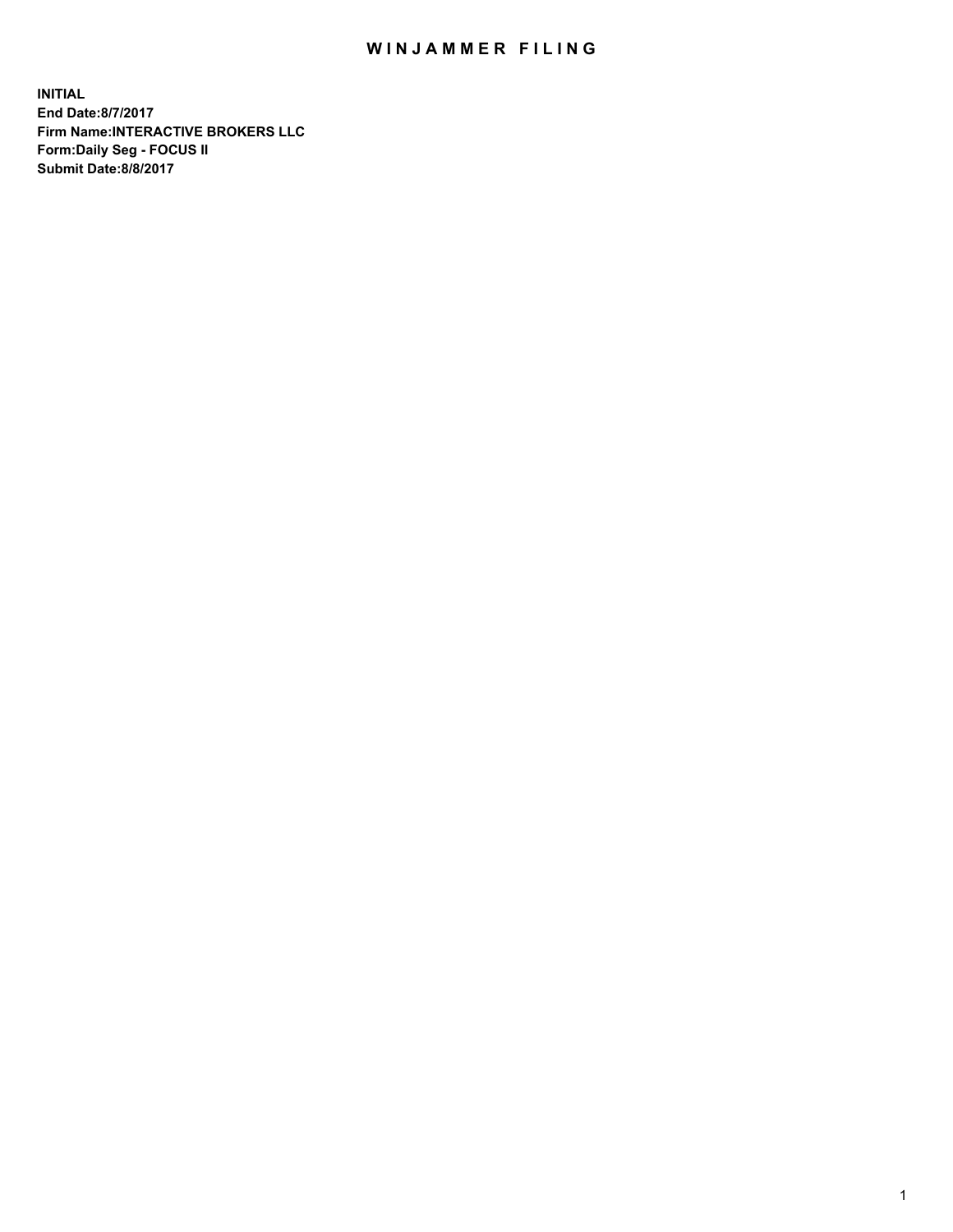## WIN JAMMER FILING

**INITIAL End Date:8/7/2017 Firm Name:INTERACTIVE BROKERS LLC Form:Daily Seg - FOCUS II Submit Date:8/8/2017**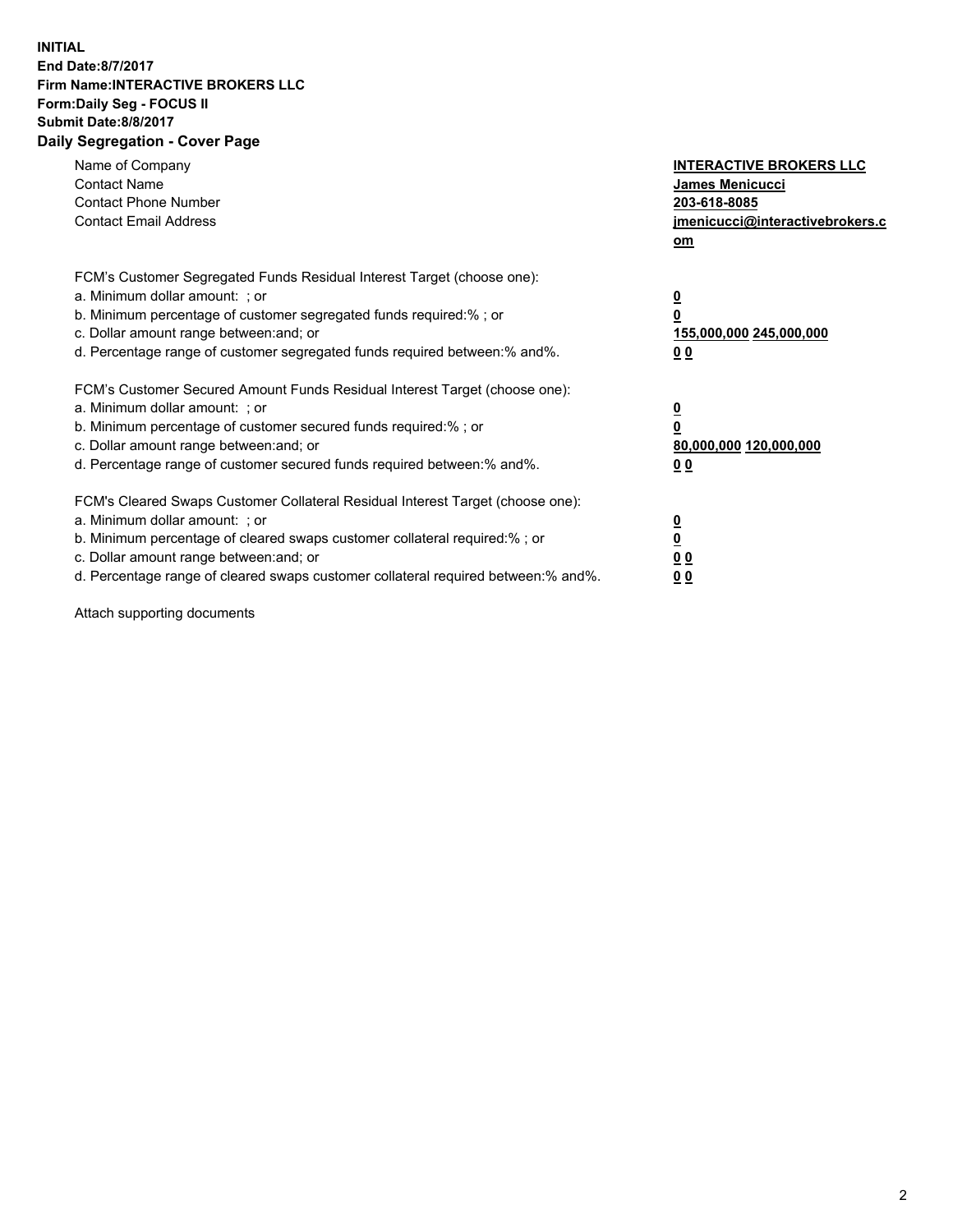## **INITIAL End Date:8/7/2017 Firm Name:INTERACTIVE BROKERS LLC Form:Daily Seg - FOCUS II Submit Date:8/8/2017 Daily Segregation - Cover Page**

| Name of Company<br><b>Contact Name</b><br><b>Contact Phone Number</b><br><b>Contact Email Address</b>                                                                                                                                                                                                                          | <b>INTERACTIVE BROKERS LLC</b><br>James Menicucci<br>203-618-8085<br>jmenicucci@interactivebrokers.c<br>om |
|--------------------------------------------------------------------------------------------------------------------------------------------------------------------------------------------------------------------------------------------------------------------------------------------------------------------------------|------------------------------------------------------------------------------------------------------------|
| FCM's Customer Segregated Funds Residual Interest Target (choose one):<br>a. Minimum dollar amount: ; or<br>b. Minimum percentage of customer segregated funds required:% ; or<br>c. Dollar amount range between: and; or<br>d. Percentage range of customer segregated funds required between:% and%.                         | $\overline{\mathbf{0}}$<br>0<br>155,000,000 245,000,000<br>0 <sub>0</sub>                                  |
| FCM's Customer Secured Amount Funds Residual Interest Target (choose one):<br>a. Minimum dollar amount: ; or<br>b. Minimum percentage of customer secured funds required:%; or<br>c. Dollar amount range between: and; or<br>d. Percentage range of customer secured funds required between: % and %.                          | $\overline{\mathbf{0}}$<br>0<br>80,000,000 120,000,000<br>0 <sub>0</sub>                                   |
| FCM's Cleared Swaps Customer Collateral Residual Interest Target (choose one):<br>a. Minimum dollar amount: ; or<br>b. Minimum percentage of cleared swaps customer collateral required:% ; or<br>c. Dollar amount range between: and; or<br>d. Percentage range of cleared swaps customer collateral required between:% and%. | $\overline{\mathbf{0}}$<br>$\overline{\mathbf{0}}$<br>0 <sub>0</sub><br>0 <sub>0</sub>                     |

Attach supporting documents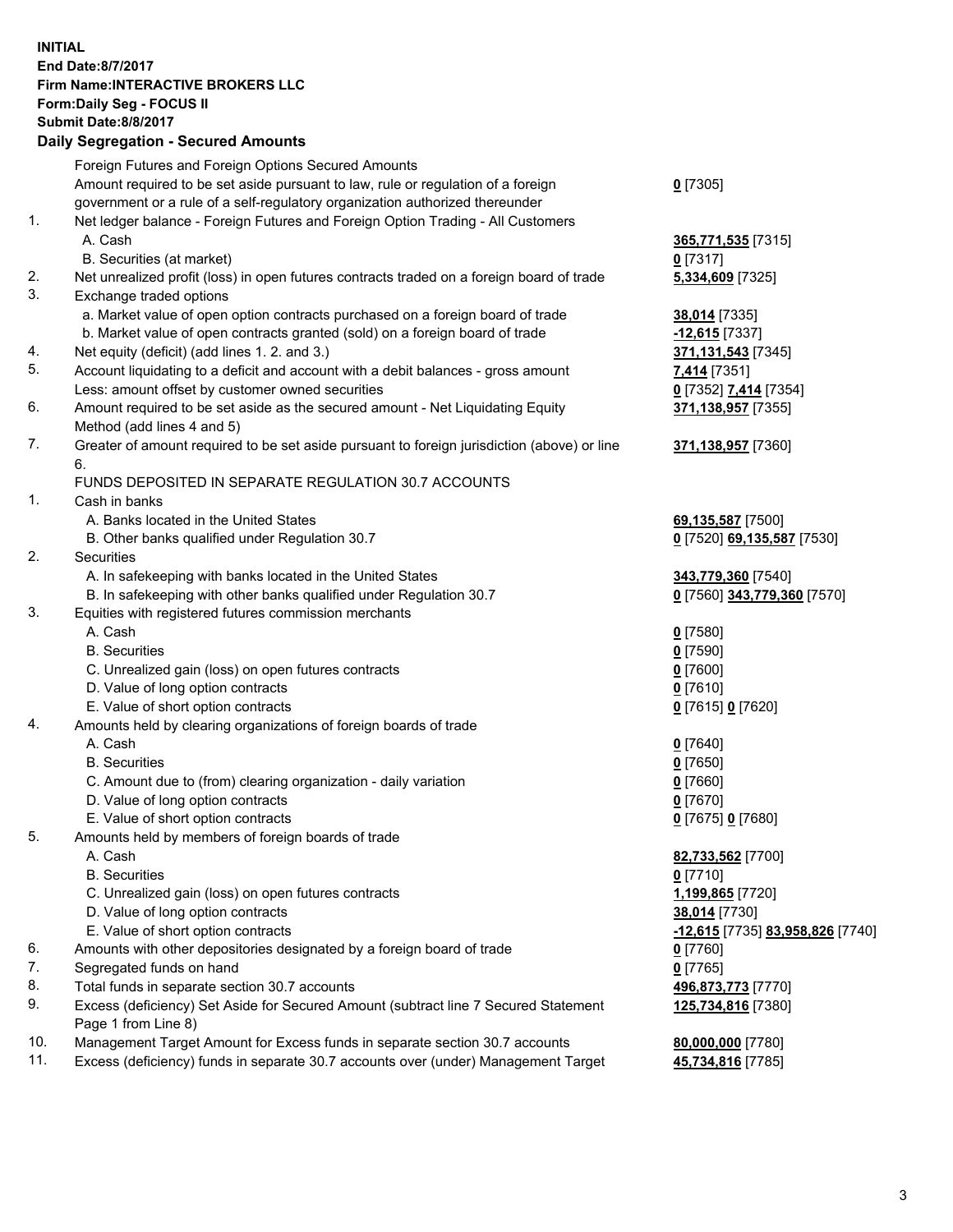## **INITIAL End Date:8/7/2017 Firm Name:INTERACTIVE BROKERS LLC Form:Daily Seg - FOCUS II Submit Date:8/8/2017 Daily Segregation - Secured Amounts**

|     | Foreign Futures and Foreign Options Secured Amounts                                         |                                  |
|-----|---------------------------------------------------------------------------------------------|----------------------------------|
|     | Amount required to be set aside pursuant to law, rule or regulation of a foreign            | $0$ [7305]                       |
|     | government or a rule of a self-regulatory organization authorized thereunder                |                                  |
| 1.  | Net ledger balance - Foreign Futures and Foreign Option Trading - All Customers             |                                  |
|     | A. Cash                                                                                     | 365,771,535 [7315]               |
|     | B. Securities (at market)                                                                   | $0$ [7317]                       |
| 2.  | Net unrealized profit (loss) in open futures contracts traded on a foreign board of trade   | 5,334,609 [7325]                 |
| 3.  | Exchange traded options                                                                     |                                  |
|     | a. Market value of open option contracts purchased on a foreign board of trade              | 38,014 [7335]                    |
|     | b. Market value of open contracts granted (sold) on a foreign board of trade                | $-12,615$ [7337]                 |
| 4.  | Net equity (deficit) (add lines 1.2. and 3.)                                                |                                  |
| 5.  |                                                                                             | 371,131,543 [7345]               |
|     | Account liquidating to a deficit and account with a debit balances - gross amount           | 7,414 [7351]                     |
|     | Less: amount offset by customer owned securities                                            | 0 [7352] 7,414 [7354]            |
| 6.  | Amount required to be set aside as the secured amount - Net Liquidating Equity              | 371,138,957 [7355]               |
|     | Method (add lines 4 and 5)                                                                  |                                  |
| 7.  | Greater of amount required to be set aside pursuant to foreign jurisdiction (above) or line | 371,138,957 [7360]               |
|     | 6.                                                                                          |                                  |
|     | FUNDS DEPOSITED IN SEPARATE REGULATION 30.7 ACCOUNTS                                        |                                  |
| 1.  | Cash in banks                                                                               |                                  |
|     | A. Banks located in the United States                                                       | 69,135,587 [7500]                |
|     | B. Other banks qualified under Regulation 30.7                                              | 0 [7520] 69,135,587 [7530]       |
| 2.  | Securities                                                                                  |                                  |
|     | A. In safekeeping with banks located in the United States                                   | 343,779,360 [7540]               |
|     | B. In safekeeping with other banks qualified under Regulation 30.7                          | 0 [7560] 343,779,360 [7570]      |
| 3.  | Equities with registered futures commission merchants                                       |                                  |
|     | A. Cash                                                                                     | $0$ [7580]                       |
|     | <b>B.</b> Securities                                                                        | $0$ [7590]                       |
|     | C. Unrealized gain (loss) on open futures contracts                                         | $0$ [7600]                       |
|     | D. Value of long option contracts                                                           | $0$ [7610]                       |
|     | E. Value of short option contracts                                                          | 0 [7615] 0 [7620]                |
| 4.  | Amounts held by clearing organizations of foreign boards of trade                           |                                  |
|     | A. Cash                                                                                     | $0$ [7640]                       |
|     | <b>B.</b> Securities                                                                        | $0$ [7650]                       |
|     |                                                                                             | $0$ [7660]                       |
|     | C. Amount due to (from) clearing organization - daily variation                             | $0$ [7670]                       |
|     | D. Value of long option contracts                                                           |                                  |
|     | E. Value of short option contracts                                                          | 0 [7675] 0 [7680]                |
| 5.  | Amounts held by members of foreign boards of trade                                          |                                  |
|     | A. Cash                                                                                     | 82,733,562 [7700]                |
|     | <b>B.</b> Securities                                                                        | $0$ [7710]                       |
|     | C. Unrealized gain (loss) on open futures contracts                                         | 1,199,865 [7720]                 |
|     | D. Value of long option contracts                                                           | 38,014 [7730]                    |
|     | E. Value of short option contracts                                                          | -12,615 [7735] 83,958,826 [7740] |
| 6.  | Amounts with other depositories designated by a foreign board of trade                      | $0$ [7760]                       |
| 7.  | Segregated funds on hand                                                                    | $0$ [7765]                       |
| 8.  | Total funds in separate section 30.7 accounts                                               | 496,873,773 [7770]               |
| 9.  | Excess (deficiency) Set Aside for Secured Amount (subtract line 7 Secured Statement         | 125,734,816 [7380]               |
|     | Page 1 from Line 8)                                                                         |                                  |
| 10. | Management Target Amount for Excess funds in separate section 30.7 accounts                 | 80,000,000 [7780]                |
| 11. | Excess (deficiency) funds in separate 30.7 accounts over (under) Management Target          | 45,734,816 [7785]                |
|     |                                                                                             |                                  |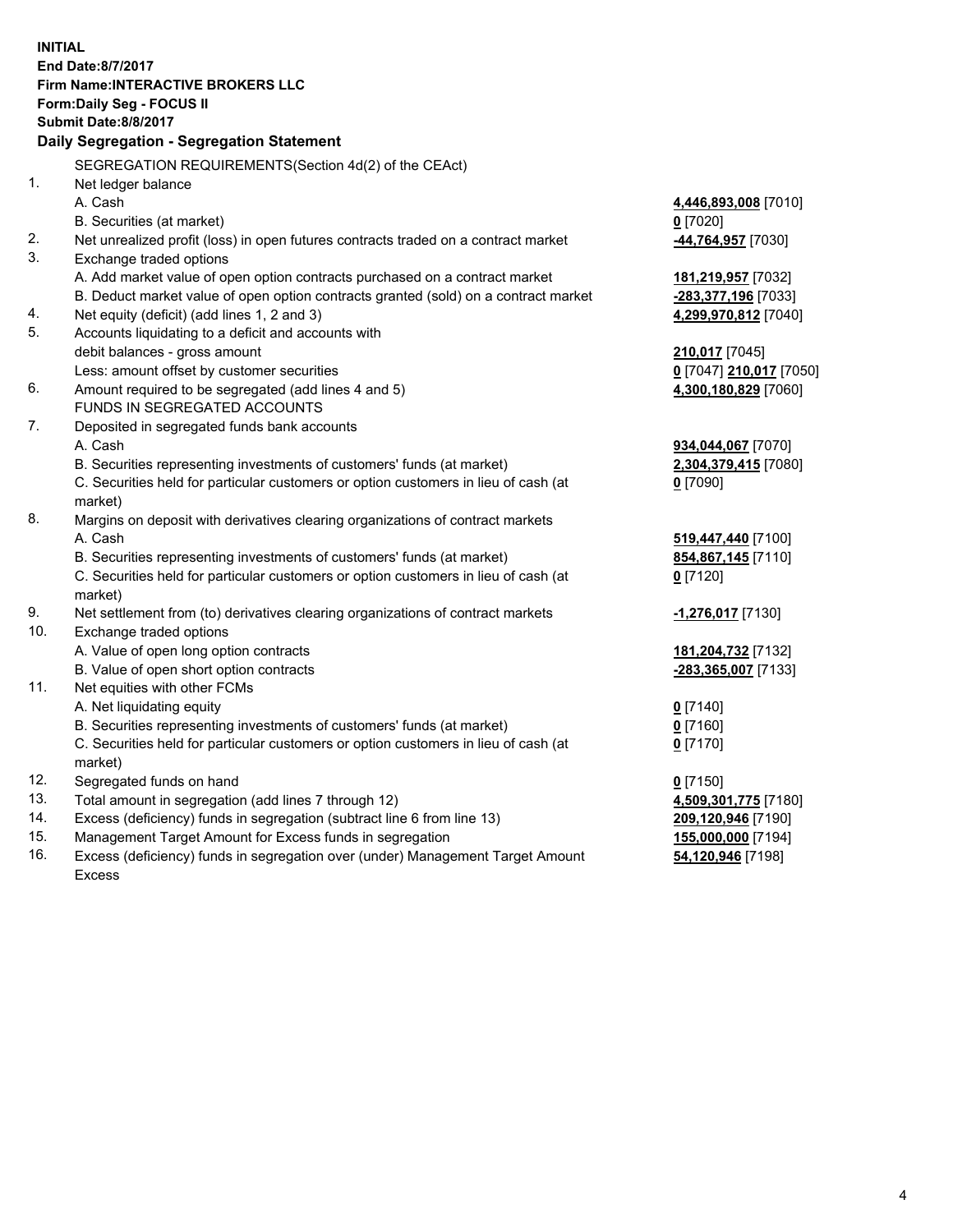**INITIAL End Date:8/7/2017 Firm Name:INTERACTIVE BROKERS LLC Form:Daily Seg - FOCUS II Submit Date:8/8/2017 Daily Segregation - Segregation Statement** SEGREGATION REQUIREMENTS(Section 4d(2) of the CEAct) 1. Net ledger balance A. Cash **4,446,893,008** [7010] B. Securities (at market) **0** [7020] 2. Net unrealized profit (loss) in open futures contracts traded on a contract market **-44,764,957** [7030] 3. Exchange traded options A. Add market value of open option contracts purchased on a contract market **181,219,957** [7032] B. Deduct market value of open option contracts granted (sold) on a contract market **-283,377,196** [7033] 4. Net equity (deficit) (add lines 1, 2 and 3) **4,299,970,812** [7040] 5. Accounts liquidating to a deficit and accounts with debit balances - gross amount **210,017** [7045] Less: amount offset by customer securities **0** [7047] **210,017** [7050] 6. Amount required to be segregated (add lines 4 and 5) **4,300,180,829** [7060] FUNDS IN SEGREGATED ACCOUNTS 7. Deposited in segregated funds bank accounts A. Cash **934,044,067** [7070] B. Securities representing investments of customers' funds (at market) **2,304,379,415** [7080] C. Securities held for particular customers or option customers in lieu of cash (at market) **0** [7090] 8. Margins on deposit with derivatives clearing organizations of contract markets A. Cash **519,447,440** [7100] B. Securities representing investments of customers' funds (at market) **854,867,145** [7110] C. Securities held for particular customers or option customers in lieu of cash (at market) **0** [7120] 9. Net settlement from (to) derivatives clearing organizations of contract markets **-1,276,017** [7130] 10. Exchange traded options A. Value of open long option contracts **181,204,732** [7132] B. Value of open short option contracts **-283,365,007** [7133] 11. Net equities with other FCMs A. Net liquidating equity **0** [7140] B. Securities representing investments of customers' funds (at market) **0** [7160] C. Securities held for particular customers or option customers in lieu of cash (at market) **0** [7170] 12. Segregated funds on hand **0** [7150] 13. Total amount in segregation (add lines 7 through 12) **4,509,301,775** [7180] 14. Excess (deficiency) funds in segregation (subtract line 6 from line 13) **209,120,946** [7190] 15. Management Target Amount for Excess funds in segregation **155,000,000** [7194] **54,120,946** [7198]

16. Excess (deficiency) funds in segregation over (under) Management Target Amount Excess